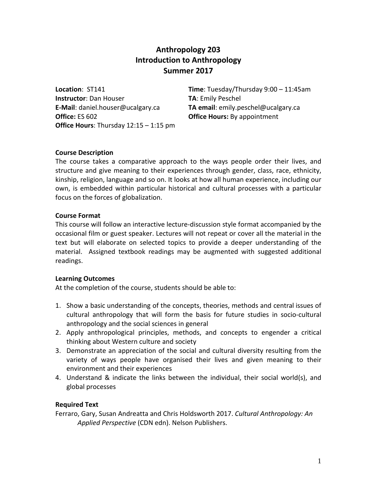# **Anthropology 203 Introduction to Anthropology Summer 2017**

**Instructor**: Dan Houser **TA**: Emily Peschel **E-Mail**: daniel.houser@ucalgary.ca **TA email**: emily.peschel@ucalgary.ca **Office:** ES 602 **Office Hours:** By appointment **Office Hours**: Thursday 12:15 – 1:15 pm

**Location**: ST141 **Time**: Tuesday/Thursday 9:00 – 11:45am

#### **Course Description**

The course takes a comparative approach to the ways people order their lives, and structure and give meaning to their experiences through gender, class, race, ethnicity, kinship, religion, language and so on. It looks at how all human experience, including our own, is embedded within particular historical and cultural processes with a particular focus on the forces of globalization.

#### **Course Format**

This course will follow an interactive lecture-discussion style format accompanied by the occasional film or guest speaker. Lectures will not repeat or cover all the material in the text but will elaborate on selected topics to provide a deeper understanding of the material. Assigned textbook readings may be augmented with suggested additional readings.

#### **Learning Outcomes**

At the completion of the course, students should be able to:

- 1. Show a basic understanding of the concepts, theories, methods and central issues of cultural anthropology that will form the basis for future studies in socio-cultural anthropology and the social sciences in general
- 2. Apply anthropological principles, methods, and concepts to engender a critical thinking about Western culture and society
- 3. Demonstrate an appreciation of the social and cultural diversity resulting from the variety of ways people have organised their lives and given meaning to their environment and their experiences
- 4. Understand & indicate the links between the individual, their social world(s), and global processes

#### **Required Text**

Ferraro, Gary, Susan Andreatta and Chris Holdsworth 2017. *Cultural Anthropology: An Applied Perspective* (CDN edn). Nelson Publishers.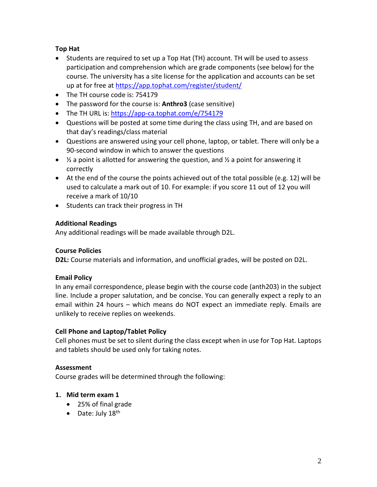# **Top Hat**

- Students are required to set up a Top Hat (TH) account. TH will be used to assess participation and comprehension which are grade components (see below) for the course. The university has a site license for the application and accounts can be set up at for free at <https://app.tophat.com/register/student/>
- The TH course code is: 754179
- The password for the course is: **Anthro3** (case sensitive)
- The TH URL is:<https://app-ca.tophat.com/e/754179>
- Questions will be posted at some time during the class using TH, and are based on that day's readings/class material
- Questions are answered using your cell phone, laptop, or tablet. There will only be a 90-second window in which to answer the questions
- $\frac{1}{2}$  a point is allotted for answering the question, and  $\frac{1}{2}$  a point for answering it correctly
- At the end of the course the points achieved out of the total possible (e.g. 12) will be used to calculate a mark out of 10. For example: if you score 11 out of 12 you will receive a mark of 10/10
- Students can track their progress in TH

# **Additional Readings**

Any additional readings will be made available through D2L.

# **Course Policies**

**D2L:** Course materials and information, and unofficial grades, will be posted on D2L.

# **Email Policy**

In any email correspondence, please begin with the course code (anth203) in the subject line. Include a proper salutation, and be concise. You can generally expect a reply to an email within 24 hours – which means do NOT expect an immediate reply. Emails are unlikely to receive replies on weekends.

# **Cell Phone and Laptop/Tablet Policy**

Cell phones must be set to silent during the class except when in use for Top Hat. Laptops and tablets should be used only for taking notes.

# **Assessment**

Course grades will be determined through the following:

# **1. Mid term exam 1**

- 25% of final grade
- Date: July  $18^{th}$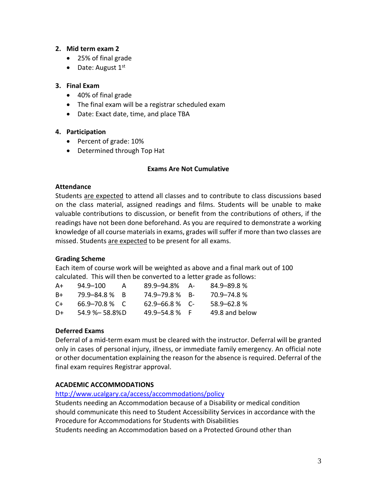#### **2. Mid term exam 2**

- 25% of final grade
- Date: August  $1<sup>st</sup>$

#### **3. Final Exam**

- 40% of final grade
- The final exam will be a registrar scheduled exam
- Date: Exact date, time, and place TBA

#### **4. Participation**

- Percent of grade: 10%
- Determined through Top Hat

#### **Exams Are Not Cumulative**

#### **Attendance**

Students are expected to attend all classes and to contribute to class discussions based on the class material, assigned readings and films. Students will be unable to make valuable contributions to discussion, or benefit from the contributions of others, if the readings have not been done beforehand. As you are required to demonstrate a working knowledge of all course materials in exams, grades will suffer if more than two classes are missed. Students are expected to be present for all exams.

# **Grading Scheme**

Each item of course work will be weighted as above and a final mark out of 100 calculated. This will then be converted to a letter grade as follows:

| A+       | 94.9-100           | А | 89.9-94.8%         | - А | $84.9 - 89.8%$  |
|----------|--------------------|---|--------------------|-----|-----------------|
| B+       | 79.9–84.8 % B      |   | 74.9–79.8 % B-     |     | 70.9–74.8%      |
| $\Gamma$ | $66.9 - 70.8$ % C  |   | $62.9 - 66.8$ % C- |     | $58.9 - 62.8$ % |
| D+       | $54.9 % - 58.8%$ D |   | 49.9–54.8%         | - F | 49.8 and below  |

# **Deferred Exams**

Deferral of a mid-term exam must be cleared with the instructor. Deferral will be granted only in cases of personal injury, illness, or immediate family emergency. An official note or other documentation explaining the reason for the absence is required. Deferral of the final exam requires Registrar approval.

# **ACADEMIC ACCOMMODATIONS**

#### <http://www.ucalgary.ca/access/accommodations/policy>

Students needing an Accommodation because of a Disability or medical condition should communicate this need to Student Accessibility Services in accordance with the Procedure for Accommodations for Students with Disabilities Students needing an Accommodation based on a Protected Ground other than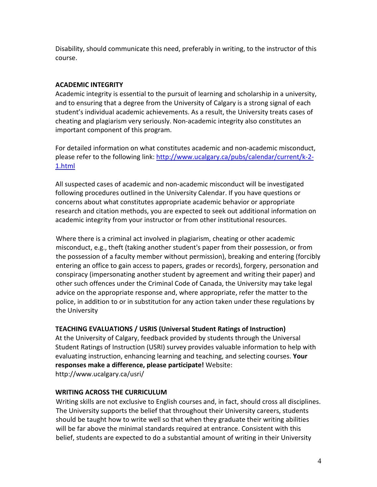Disability, should communicate this need, preferably in writing, to the instructor of this course.

# **ACADEMIC INTEGRITY**

Academic integrity is essential to the pursuit of learning and scholarship in a university, and to ensuring that a degree from the University of Calgary is a strong signal of each student's individual academic achievements. As a result, the University treats cases of cheating and plagiarism very seriously. Non-academic integrity also constitutes an important component of this program.

For detailed information on what constitutes academic and non-academic misconduct, please refer to the following link: [http://www.ucalgary.ca/pubs/calendar/current/k-2-](http://www.ucalgary.ca/pubs/calendar/current/k-2-1.html) [1.html](http://www.ucalgary.ca/pubs/calendar/current/k-2-1.html)

All suspected cases of academic and non-academic misconduct will be investigated following procedures outlined in the University Calendar. If you have questions or concerns about what constitutes appropriate academic behavior or appropriate research and citation methods, you are expected to seek out additional information on academic integrity from your instructor or from other institutional resources.

Where there is a criminal act involved in plagiarism, cheating or other academic misconduct, e.g., theft (taking another student's paper from their possession, or from the possession of a faculty member without permission), breaking and entering (forcibly entering an office to gain access to papers, grades or records), forgery, personation and conspiracy (impersonating another student by agreement and writing their paper) and other such offences under the Criminal Code of Canada, the University may take legal advice on the appropriate response and, where appropriate, refer the matter to the police, in addition to or in substitution for any action taken under these regulations by the University

# **TEACHING EVALUATIONS / USRIS (Universal Student Ratings of Instruction)**

At the University of Calgary, feedback provided by students through the Universal Student Ratings of Instruction (USRI) survey provides valuable information to help with evaluating instruction, enhancing learning and teaching, and selecting courses. **Your responses make a difference, please participate!** Website: http://www.ucalgary.ca/usri/

# **WRITING ACROSS THE CURRICULUM**

Writing skills are not exclusive to English courses and, in fact, should cross all disciplines. The University supports the belief that throughout their University careers, students should be taught how to write well so that when they graduate their writing abilities will be far above the minimal standards required at entrance. Consistent with this belief, students are expected to do a substantial amount of writing in their University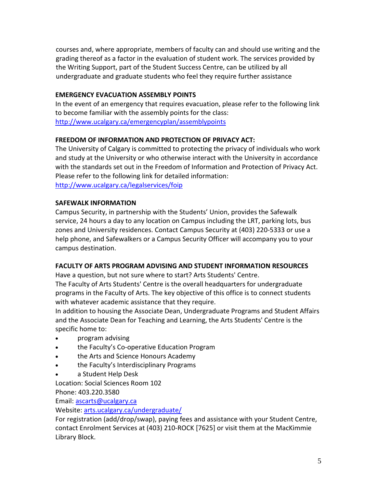courses and, where appropriate, members of faculty can and should use writing and the grading thereof as a factor in the evaluation of student work. The services provided by the Writing Support, part of the Student Success Centre, can be utilized by all undergraduate and graduate students who feel they require further assistance

# **EMERGENCY EVACUATION ASSEMBLY POINTS**

In the event of an emergency that requires evacuation, please refer to the following link to become familiar with the assembly points for the class: <http://www.ucalgary.ca/emergencyplan/assemblypoints>

# **FREEDOM OF INFORMATION AND PROTECTION OF PRIVACY ACT:**

The University of Calgary is committed to protecting the privacy of individuals who work and study at the University or who otherwise interact with the University in accordance with the standards set out in the Freedom of Information and Protection of Privacy Act. Please refer to the following link for detailed information: <http://www.ucalgary.ca/legalservices/foip>

# **SAFEWALK INFORMATION**

Campus Security, in partnership with the Students' Union, provides the Safewalk service, 24 hours a day to any location on Campus including the LRT, parking lots, bus zones and University residences. Contact Campus Security at (403) 220-5333 or use a help phone, and Safewalkers or a Campus Security Officer will accompany you to your campus destination.

# **FACULTY OF ARTS PROGRAM ADVISING AND STUDENT INFORMATION RESOURCES**

Have a question, but not sure where to start? Arts Students' Centre.

The Faculty of Arts Students' Centre is the overall headquarters for undergraduate programs in the Faculty of Arts. The key objective of this office is to connect students with whatever academic assistance that they require.

In addition to housing the Associate Dean, Undergraduate Programs and Student Affairs and the Associate Dean for Teaching and Learning, the Arts Students' Centre is the specific home to:

- program advising
- the Faculty's Co-operative Education Program
- the Arts and Science Honours Academy
- the Faculty's Interdisciplinary Programs
- a Student Help Desk

Location: Social Sciences Room 102

Phone: 403.220.3580

Email: [ascarts@ucalgary.ca](http://ucalgary.ca/pubs/calendar/current/ascarts@ucalgary.ca)

Website: [arts.ucalgary.ca/undergraduate/](http://arts.ucalgary.ca/undergraduate/)

For registration (add/drop/swap), paying fees and assistance with your Student Centre, contact Enrolment Services at (403) 210-ROCK [7625] or visit them at the MacKimmie Library Block.